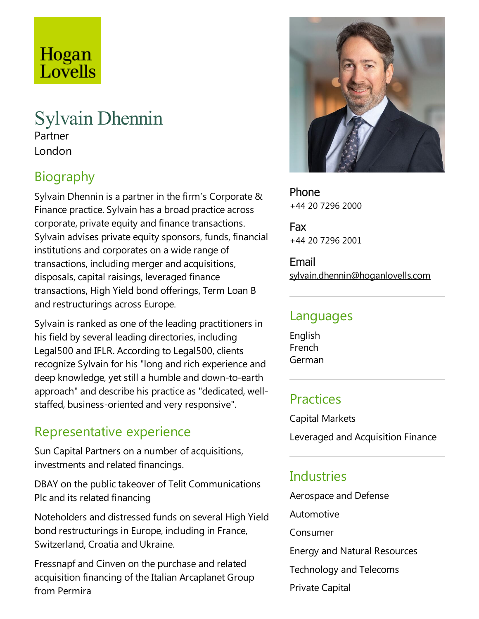# Hogan Lovells

## Sylvain Dhennin

Partner London

## Biography

Sylvain Dhennin is a partner in the firm's Corporate & Finance practice. Sylvain has a broad practice across corporate, private equity and finance transactions. Sylvain advises private equity sponsors, funds, financial institutions and corporates on a wide range of transactions, including merger and acquisitions, disposals, capital raisings, leveraged finance transactions, High Yield bond offerings, Term Loan B and restructurings across Europe.

Sylvain is ranked as one of the leading practitioners in his field by several leading directories, including Legal500 and IFLR. According to Legal500, clients recognize Sylvain for his "long and rich experience and deep knowledge, yet still a humble and down-to-earth approach" and describe his practice as "dedicated, wellstaffed, business-oriented and very responsive".

#### Representative experience

Sun Capital Partners on a number of acquisitions, investments and related financings.

DBAY on the public takeover of Telit Communications Plc and its related financing

Noteholders and distressed funds on several High Yield bond restructurings in Europe, including in France, Switzerland, Croatiaand Ukraine.

Fressnapf and Cinven on the purchase and related acquisition financing of the Italian Arcaplanet Group from Permira



Phone +44 20 7296 2000

Fax +44 20 7296 2001

Email sylvain.dhennin@hoganlovells.com

#### Languages

English French German

#### Practices

Capital Markets Leveraged and Acquisition Finance

#### Industries

Aerospace and Defense Automotive Consumer Energy and Natural Resources Technology and Telecoms Private Capital